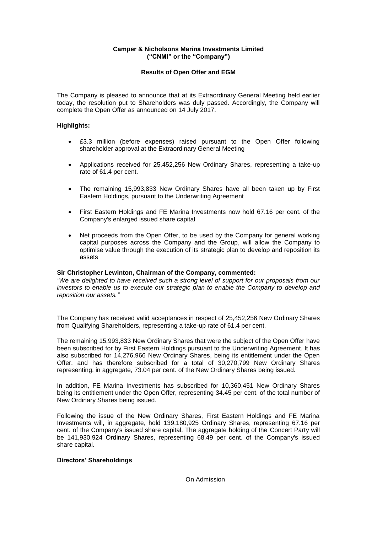## **Camper & Nicholsons Marina Investments Limited ("CNMI" or the "Company")**

# **Results of Open Offer and EGM**

The Company is pleased to announce that at its Extraordinary General Meeting held earlier today, the resolution put to Shareholders was duly passed. Accordingly, the Company will complete the Open Offer as announced on 14 July 2017.

## **Highlights:**

- £3.3 million (before expenses) raised pursuant to the Open Offer following shareholder approval at the Extraordinary General Meeting
- Applications received for 25,452,256 New Ordinary Shares, representing a take-up rate of 61.4 per cent.
- The remaining 15,993,833 New Ordinary Shares have all been taken up by First Eastern Holdings, pursuant to the Underwriting Agreement
- First Eastern Holdings and FE Marina Investments now hold 67.16 per cent. of the Company's enlarged issued share capital
- Net proceeds from the Open Offer, to be used by the Company for general working capital purposes across the Company and the Group, will allow the Company to optimise value through the execution of its strategic plan to develop and reposition its assets

### **Sir Christopher Lewinton, Chairman of the Company, commented:**

*"We are delighted to have received such a strong level of support for our proposals from our investors to enable us to execute our strategic plan to enable the Company to develop and reposition our assets."*

The Company has received valid acceptances in respect of 25,452,256 New Ordinary Shares from Qualifying Shareholders, representing a take-up rate of 61.4 per cent.

The remaining 15,993,833 New Ordinary Shares that were the subject of the Open Offer have been subscribed for by First Eastern Holdings pursuant to the Underwriting Agreement. It has also subscribed for 14,276,966 New Ordinary Shares, being its entitlement under the Open Offer, and has therefore subscribed for a total of 30,270,799 New Ordinary Shares representing, in aggregate, 73.04 per cent. of the New Ordinary Shares being issued.

In addition, FE Marina Investments has subscribed for 10,360,451 New Ordinary Shares being its entitlement under the Open Offer, representing 34.45 per cent. of the total number of New Ordinary Shares being issued.

Following the issue of the New Ordinary Shares, First Eastern Holdings and FE Marina Investments will, in aggregate, hold 139,180,925 Ordinary Shares, representing 67.16 per cent. of the Company's issued share capital. The aggregate holding of the Concert Party will be 141,930,924 Ordinary Shares, representing 68.49 per cent. of the Company's issued share capital.

### **Directors' Shareholdings**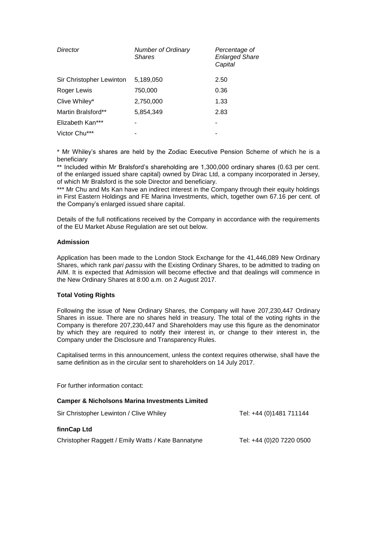| Director                 | <b>Number of Ordinary</b><br><b>Shares</b> | Percentage of<br><b>Enlarged Share</b><br>Capital |
|--------------------------|--------------------------------------------|---------------------------------------------------|
| Sir Christopher Lewinton | 5,189,050                                  | 2.50                                              |
| Roger Lewis              | 750,000                                    | 0.36                                              |
| Clive Whiley*            | 2,750,000                                  | 1.33                                              |
| Martin Bralsford**       | 5,854,349                                  | 2.83                                              |
| Elizabeth Kan***         |                                            | -                                                 |
| Victor Chu***            |                                            |                                                   |

\* Mr Whiley's shares are held by the Zodiac Executive Pension Scheme of which he is a beneficiary

\*\* Included within Mr Bralsford's shareholding are 1,300,000 ordinary shares (0.63 per cent. of the enlarged issued share capital) owned by Dirac Ltd, a company incorporated in Jersey, of which Mr Bralsford is the sole Director and beneficiary.

\*\*\* Mr Chu and Ms Kan have an indirect interest in the Company through their equity holdings in First Eastern Holdings and FE Marina Investments, which, together own 67.16 per cent. of the Company's enlarged issued share capital.

Details of the full notifications received by the Company in accordance with the requirements of the EU Market Abuse Regulation are set out below.

# **Admission**

Application has been made to the London Stock Exchange for the 41,446,089 New Ordinary Shares, which rank *pari passu* with the Existing Ordinary Shares, to be admitted to trading on AIM. It is expected that Admission will become effective and that dealings will commence in the New Ordinary Shares at 8:00 a.m. on 2 August 2017.

### **Total Voting Rights**

Following the issue of New Ordinary Shares, the Company will have 207,230,447 Ordinary Shares in issue. There are no shares held in treasury. The total of the voting rights in the Company is therefore 207,230,447 and Shareholders may use this figure as the denominator by which they are required to notify their interest in, or change to their interest in, the Company under the Disclosure and Transparency Rules.

Capitalised terms in this announcement, unless the context requires otherwise, shall have the same definition as in the circular sent to shareholders on 14 July 2017.

For further information contact:

#### **Camper & Nicholsons Marina Investments Limited**

| Sir Christopher Lewinton / Clive Whiley            | Tel: +44 (0)1481 711144  |
|----------------------------------------------------|--------------------------|
| finnCap Ltd                                        |                          |
| Christopher Raggett / Emily Watts / Kate Bannatyne | Tel: +44 (0)20 7220 0500 |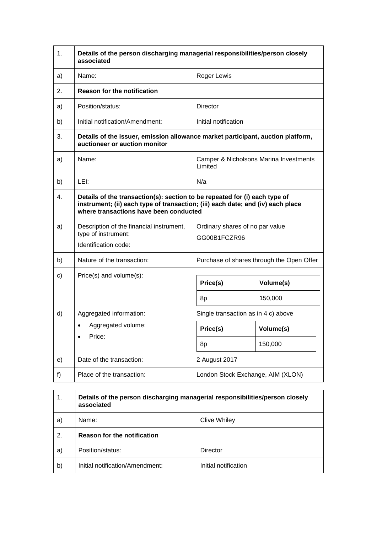| 1. | Details of the person discharging managerial responsibilities/person closely<br>associated                                                                                                              |                                                   |                      |
|----|---------------------------------------------------------------------------------------------------------------------------------------------------------------------------------------------------------|---------------------------------------------------|----------------------|
| a) | Name:                                                                                                                                                                                                   | <b>Roger Lewis</b>                                |                      |
| 2. | <b>Reason for the notification</b>                                                                                                                                                                      |                                                   |                      |
| a) | Position/status:                                                                                                                                                                                        | Director                                          |                      |
| b) | Initial notification/Amendment:                                                                                                                                                                         | Initial notification                              |                      |
| 3. | Details of the issuer, emission allowance market participant, auction platform,<br>auctioneer or auction monitor                                                                                        |                                                   |                      |
| a) | Name:                                                                                                                                                                                                   | Camper & Nicholsons Marina Investments<br>Limited |                      |
| b) | LEI:                                                                                                                                                                                                    | N/a                                               |                      |
| 4. | Details of the transaction(s): section to be repeated for (i) each type of<br>instrument; (ii) each type of transaction; (iii) each date; and (iv) each place<br>where transactions have been conducted |                                                   |                      |
| a) | Description of the financial instrument,<br>type of instrument:<br>Identification code:                                                                                                                 | Ordinary shares of no par value<br>GG00B1FCZR96   |                      |
| b) | Nature of the transaction:                                                                                                                                                                              | Purchase of shares through the Open Offer         |                      |
| c) | Price(s) and volume(s):                                                                                                                                                                                 | Price(s)<br>8p                                    | Volume(s)<br>150,000 |
| d) | Aggregated information:                                                                                                                                                                                 | Single transaction as in 4 c) above               |                      |
|    | Aggregated volume:<br>Price:                                                                                                                                                                            | Price(s)                                          | Volume(s)            |
|    |                                                                                                                                                                                                         | 8p                                                | 150,000              |
| e) | Date of the transaction:                                                                                                                                                                                | 2 August 2017                                     |                      |
| f) | Place of the transaction:                                                                                                                                                                               | London Stock Exchange, AIM (XLON)                 |                      |

| 1. | Details of the person discharging managerial responsibilities/person closely<br>associated |                      |  |
|----|--------------------------------------------------------------------------------------------|----------------------|--|
| a) | Name:<br><b>Clive Whiley</b>                                                               |                      |  |
| 2. | <b>Reason for the notification</b>                                                         |                      |  |
| a) | Position/status:                                                                           | Director             |  |
| b) | Initial notification/Amendment:                                                            | Initial notification |  |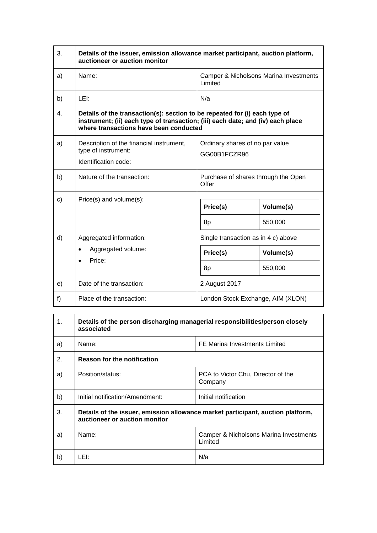| 3. | Details of the issuer, emission allowance market participant, auction platform,<br>auctioneer or auction monitor                                                                                        |                                                                               |  |
|----|---------------------------------------------------------------------------------------------------------------------------------------------------------------------------------------------------------|-------------------------------------------------------------------------------|--|
| a) | Name:                                                                                                                                                                                                   | Camper & Nicholsons Marina Investments<br>Limited                             |  |
| b) | LEI:                                                                                                                                                                                                    | N/a                                                                           |  |
| 4. | Details of the transaction(s): section to be repeated for (i) each type of<br>instrument; (ii) each type of transaction; (iii) each date; and (iv) each place<br>where transactions have been conducted |                                                                               |  |
| a) | Description of the financial instrument,<br>type of instrument:<br>Identification code:                                                                                                                 | Ordinary shares of no par value<br>GG00B1FCZR96                               |  |
| b) | Nature of the transaction:                                                                                                                                                                              | Purchase of shares through the Open<br>Offer                                  |  |
| c) | Price(s) and volume(s):                                                                                                                                                                                 | Price(s)<br>Volume(s)<br>550,000<br>8p                                        |  |
| d) | Aggregated information:<br>Aggregated volume:<br>Price:                                                                                                                                                 | Single transaction as in 4 c) above<br>Price(s)<br>Volume(s)<br>550,000<br>8p |  |
| e) | Date of the transaction:                                                                                                                                                                                | 2 August 2017                                                                 |  |
| f) | Place of the transaction:                                                                                                                                                                               | London Stock Exchange, AIM (XLON)                                             |  |

| 1 <sub>1</sub> | Details of the person discharging managerial responsibilities/person closely<br>associated                       |                                                   |  |
|----------------|------------------------------------------------------------------------------------------------------------------|---------------------------------------------------|--|
| a)             | Name:                                                                                                            | FE Marina Investments Limited                     |  |
| 2.             | <b>Reason for the notification</b>                                                                               |                                                   |  |
| a)             | Position/status:                                                                                                 | PCA to Victor Chu, Director of the<br>Company     |  |
| b)             | Initial notification/Amendment:                                                                                  | Initial notification                              |  |
| 3.             | Details of the issuer, emission allowance market participant, auction platform,<br>auctioneer or auction monitor |                                                   |  |
| a)             | Name:                                                                                                            | Camper & Nicholsons Marina Investments<br>Limited |  |
| b)             | LEI:                                                                                                             | N/a                                               |  |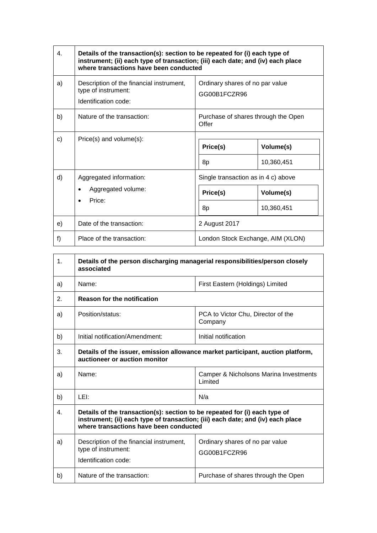| 4. | Details of the transaction(s): section to be repeated for (i) each type of<br>instrument; (ii) each type of transaction; (iii) each date; and (iv) each place<br>where transactions have been conducted |                                                 |                         |
|----|---------------------------------------------------------------------------------------------------------------------------------------------------------------------------------------------------------|-------------------------------------------------|-------------------------|
| a) | Description of the financial instrument,<br>type of instrument:<br>Identification code:                                                                                                                 | Ordinary shares of no par value<br>GG00B1FCZR96 |                         |
| b) | Nature of the transaction:                                                                                                                                                                              | Purchase of shares through the Open<br>Offer    |                         |
| c) | Price(s) and volume(s):                                                                                                                                                                                 | Price(s)<br>8p                                  | Volume(s)<br>10,360,451 |
| d) | Aggregated information:                                                                                                                                                                                 | Single transaction as in 4 c) above             |                         |
|    | Aggregated volume:<br>$\bullet$<br>Price:                                                                                                                                                               | Price(s)                                        | Volume(s)               |
|    |                                                                                                                                                                                                         | 8p                                              | 10,360,451              |
| e) | Date of the transaction:                                                                                                                                                                                | 2 August 2017                                   |                         |
| f) | Place of the transaction:                                                                                                                                                                               | London Stock Exchange, AIM (XLON)               |                         |

| 1. | Details of the person discharging managerial responsibilities/person closely<br>associated                                                                                                              |                                                   |  |  |
|----|---------------------------------------------------------------------------------------------------------------------------------------------------------------------------------------------------------|---------------------------------------------------|--|--|
| a) | Name:                                                                                                                                                                                                   | First Eastern (Holdings) Limited                  |  |  |
| 2. | <b>Reason for the notification</b>                                                                                                                                                                      |                                                   |  |  |
| a) | Position/status:                                                                                                                                                                                        | PCA to Victor Chu, Director of the<br>Company     |  |  |
| b) | Initial notification/Amendment:<br>Initial notification                                                                                                                                                 |                                                   |  |  |
| 3. | Details of the issuer, emission allowance market participant, auction platform,<br>auctioneer or auction monitor                                                                                        |                                                   |  |  |
| a) | Name:                                                                                                                                                                                                   | Camper & Nicholsons Marina Investments<br>Limited |  |  |
| b) | LEI:                                                                                                                                                                                                    | N/a                                               |  |  |
| 4. | Details of the transaction(s): section to be repeated for (i) each type of<br>instrument; (ii) each type of transaction; (iii) each date; and (iv) each place<br>where transactions have been conducted |                                                   |  |  |
| a) | Description of the financial instrument,<br>type of instrument:<br>Identification code:                                                                                                                 | Ordinary shares of no par value<br>GG00B1FCZR96   |  |  |
| b) | Nature of the transaction:                                                                                                                                                                              | Purchase of shares through the Open               |  |  |